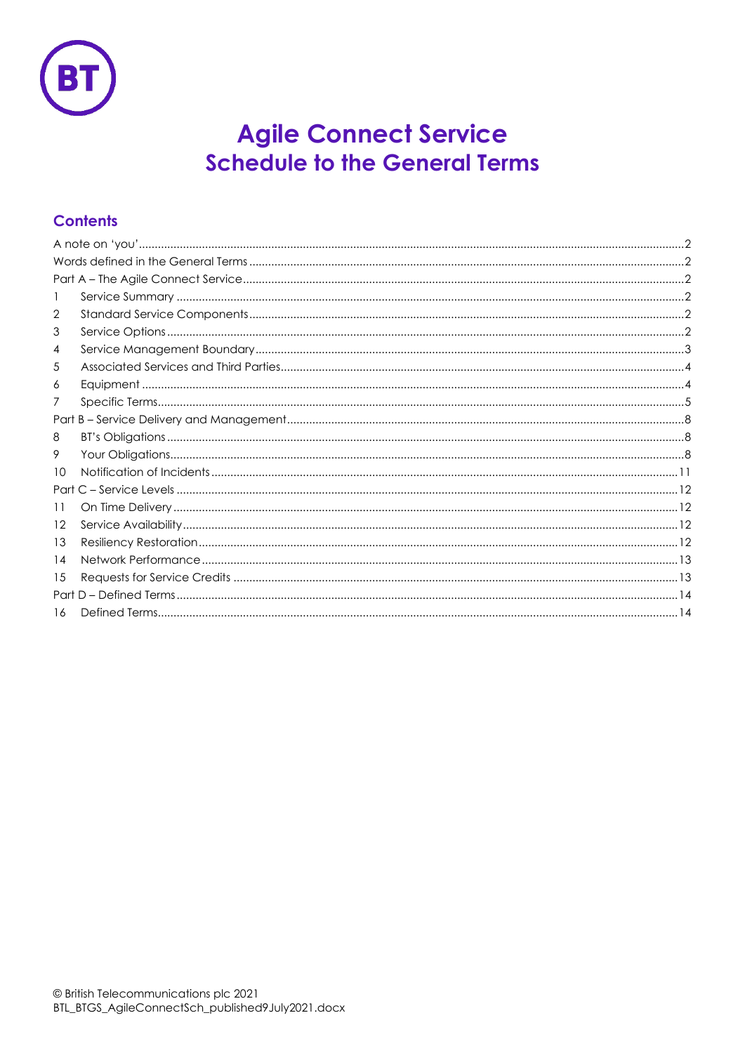

# **Agile Connect Service Schedule to the General Terms**

# **Contents**

| 2       |  |  |  |  |  |
|---------|--|--|--|--|--|
| 3       |  |  |  |  |  |
| 4       |  |  |  |  |  |
| 5       |  |  |  |  |  |
| 6       |  |  |  |  |  |
| 7       |  |  |  |  |  |
|         |  |  |  |  |  |
| 8       |  |  |  |  |  |
| 9       |  |  |  |  |  |
| 10      |  |  |  |  |  |
| Part    |  |  |  |  |  |
| 11      |  |  |  |  |  |
| $12 \,$ |  |  |  |  |  |
| 13      |  |  |  |  |  |
| 14      |  |  |  |  |  |
| 15      |  |  |  |  |  |
|         |  |  |  |  |  |
| 16      |  |  |  |  |  |
|         |  |  |  |  |  |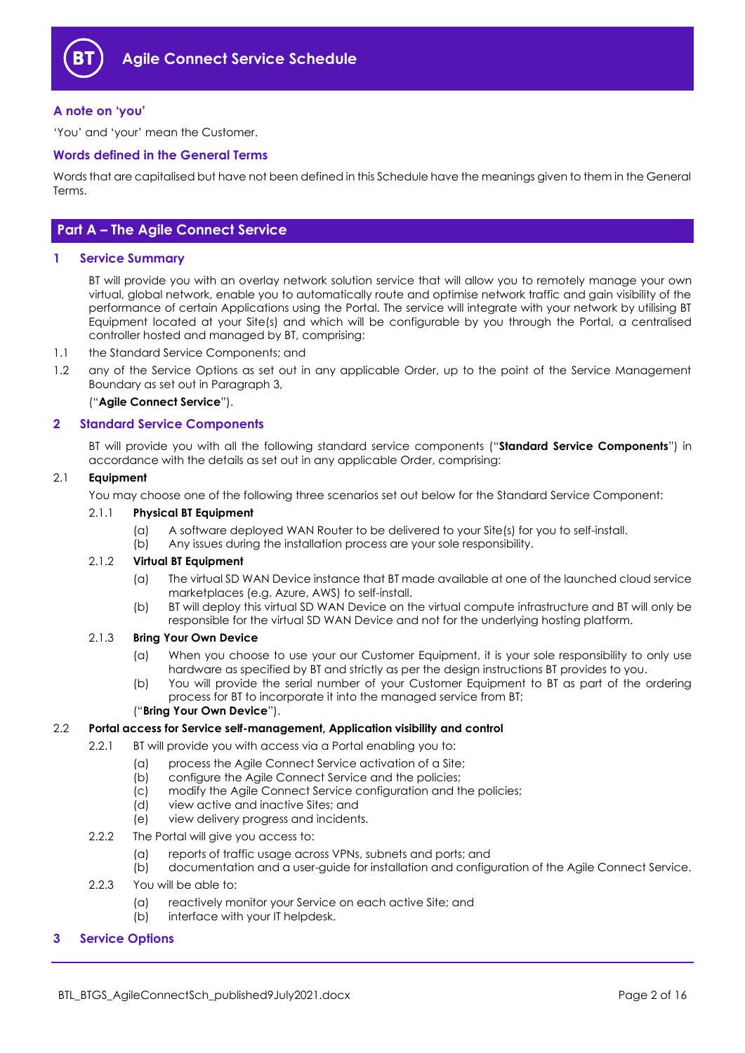

# <span id="page-1-0"></span>**A note on 'you'**

'You' and 'your' mean the Customer.

# <span id="page-1-1"></span>**Words defined in the General Terms**

Words that are capitalised but have not been defined in this Schedule have the meanings given to them in the General Terms.

# <span id="page-1-2"></span>**Part A – The Agile Connect Service**

#### <span id="page-1-3"></span>**1 Service Summary**

BT will provide you with an overlay network solution service that will allow you to remotely manage your own virtual, global network, enable you to automatically route and optimise network traffic and gain visibility of the performance of certain Applications using the Portal. The service will integrate with your network by utilising BT Equipment located at your Site(s) and which will be configurable by you through the Portal, a centralised controller hosted and managed by BT, comprising:

- 1.1 the Standard Service Components; and
- 1.2 any of the Service Options as set out in any applicable Order, up to the point of the Service Management Boundary as set out in Paragraph [3,](#page-1-5)

# ("**Agile Connect Service**").

#### <span id="page-1-4"></span>**2 Standard Service Components**

BT will provide you with all the following standard service components ("**Standard Service Components**") in accordance with the details as set out in any applicable Order, comprising:

# 2.1 **Equipment**

You may choose one of the following three scenarios set out below for the Standard Service Component:

# 2.1.1 **Physical BT Equipment**

- (a) A software deployed WAN Router to be delivered to your Site(s) for you to self-install.
- (b) Any issues during the installation process are your sole responsibility.

# 2.1.2 **Virtual BT Equipment**

- (a) The virtual SD WAN Device instance that BT made available at one of the launched cloud service marketplaces (e.g. Azure, AWS) to self-install.
- (b) BT will deploy this virtual SD WAN Device on the virtual compute infrastructure and BT will only be responsible for the virtual SD WAN Device and not for the underlying hosting platform.

#### <span id="page-1-6"></span>2.1.3 **Bring Your Own Device**

- (a) When you choose to use your our Customer Equipment, it is your sole responsibility to only use hardware as specified by BT and strictly as per the design instructions BT provides to you.
- (b) You will provide the serial number of your Customer Equipment to BT as part of the ordering process for BT to incorporate it into the managed service from BT;

# ("**Bring Your Own Device**").

#### 2.2 **Portal access for Service self-management, Application visibility and control**

- 2.2.1 BT will provide you with access via a Portal enabling you to:
	- (a) process the Agile Connect Service activation of a Site;
	- (b) configure the Agile Connect Service and the policies;
	- (c) modify the Agile Connect Service configuration and the policies;<br>(d) view active and inactive Sites; and
	- view active and inactive Sites; and
	- (e) view delivery progress and incidents.
- 2.2.2 The Portal will give you access to:
	- (a) reports of traffic usage across VPNs, subnets and ports; and
	- (b) documentation and a user-guide for installation and configuration of the Agile Connect Service.
- 2.2.3 You will be able to:
	- (a) reactively monitor your Service on each active Site; and
	- (b) interface with your IT helpdesk.

# <span id="page-1-5"></span>**3 Service Options**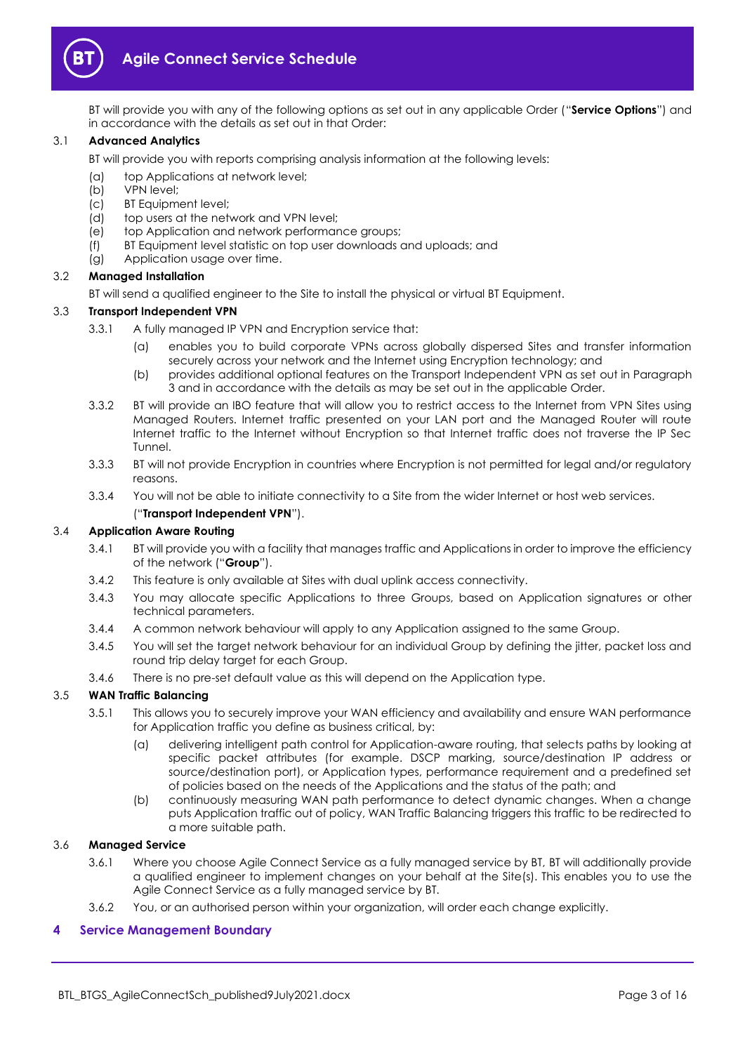

BT will provide you with any of the following options as set out in any applicable Order ("**Service Options**") and in accordance with the details as set out in that Order:

#### 3.1 **Advanced Analytics**

BT will provide you with reports comprising analysis information at the following levels:

- (a) top Applications at network level;
- (b) VPN level;
- (c) BT Equipment level;
- (d) top users at the network and VPN level;
- (e) top Application and network performance groups;
- (f) BT Equipment level statistic on top user downloads and uploads; and
- (g) Application usage over time.

# 3.2 **Managed Installation**

BT will send a qualified engineer to the Site to install the physical or virtual BT Equipment.

# 3.3 **Transport Independent VPN**

- 3.3.1 A fully managed IP VPN and Encryption service that:
	- (a) enables you to build corporate VPNs across globally dispersed Sites and transfer information securely across your network and the Internet using Encryption technology; and
	- (b) provides additional optional features on the Transport Independent VPN as set out in Paragraph [3](#page-1-5) and in accordance with the details as may be set out in the applicable Order.
- 3.3.2 BT will provide an IBO feature that will allow you to restrict access to the Internet from VPN Sites using Managed Routers. Internet traffic presented on your LAN port and the Managed Router will route Internet traffic to the Internet without Encryption so that Internet traffic does not traverse the IP Sec Tunnel.
- 3.3.3 BT will not provide Encryption in countries where Encryption is not permitted for legal and/or regulatory reasons
- 3.3.4 You will not be able to initiate connectivity to a Site from the wider Internet or host web services. ("**Transport Independent VPN**").

# <span id="page-2-1"></span>3.4 **Application Aware Routing**

- 3.4.1 BT will provide you with a facility that manages traffic and Applications in order to improve the efficiency of the network ("**Group**").
- 3.4.2 This feature is only available at Sites with dual uplink access connectivity.
- 3.4.3 You may allocate specific Applications to three Groups, based on Application signatures or other technical parameters.
- 3.4.4 A common network behaviour will apply to any Application assigned to the same Group.
- 3.4.5 You will set the target network behaviour for an individual Group by defining the jitter, packet loss and round trip delay target for each Group.
- 3.4.6 There is no pre-set default value as this will depend on the Application type.

# 3.5 **WAN Traffic Balancing**

- 3.5.1 This allows you to securely improve your WAN efficiency and availability and ensure WAN performance for Application traffic you define as business critical, by:
	- (a) delivering intelligent path control for Application-aware routing, that selects paths by looking at specific packet attributes (for example. DSCP marking, source/destination IP address or source/destination port), or Application types, performance requirement and a predefined set of policies based on the needs of the Applications and the status of the path; and
	- (b) continuously measuring WAN path performance to detect dynamic changes. When a change puts Application traffic out of policy, WAN Traffic Balancing triggers this traffic to be redirected to a more suitable path.

#### 3.6 **Managed Service**

- 3.6.1 Where you choose Agile Connect Service as a fully managed service by BT, BT will additionally provide a qualified engineer to implement changes on your behalf at the Site(s). This enables you to use the Agile Connect Service as a fully managed service by BT.
- 3.6.2 You, or an authorised person within your organization, will order each change explicitly.

# <span id="page-2-0"></span>**4 Service Management Boundary**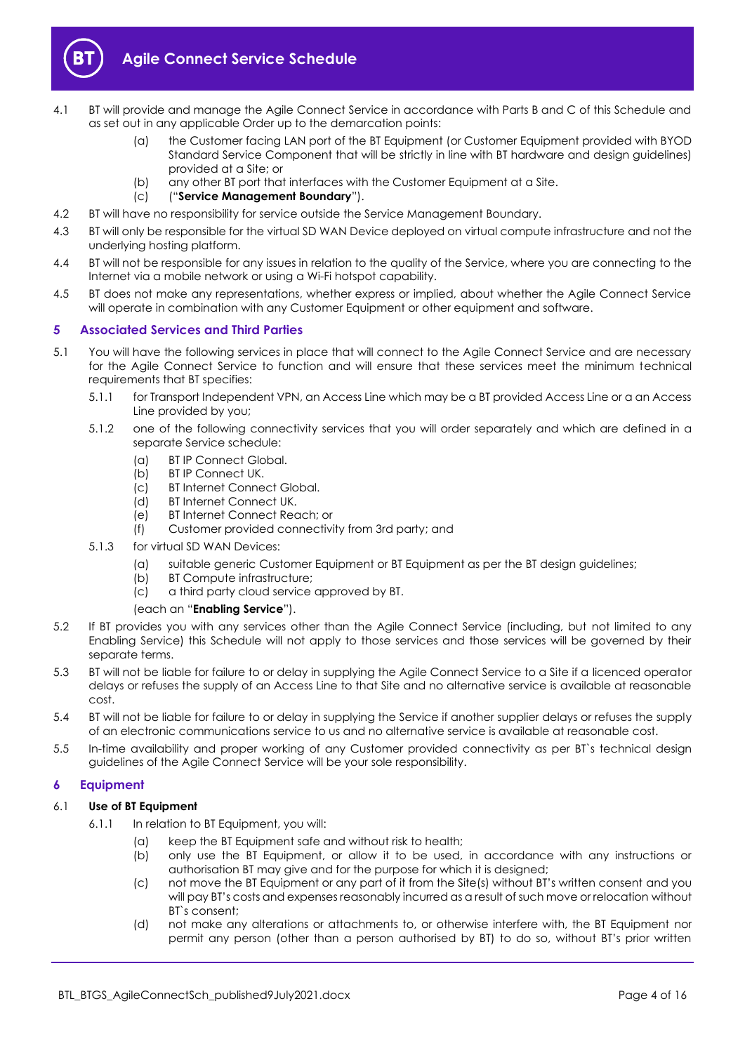

- <span id="page-3-3"></span>4.1 BT will provide and manage the Agile Connect Service in accordance with Parts B and C of this Schedule and as set out in any applicable Order up to the demarcation points:
	- (a) the Customer facing LAN port of the BT Equipment (or Customer Equipment provided with BYOD Standard Service Component that will be strictly in line with BT hardware and design guidelines) provided at a Site; or
	- (b) any other BT port that interfaces with the Customer Equipment at a Site.
	- (c) ("**Service Management Boundary**").
- 4.2 BT will have no responsibility for service outside the Service Management Boundary.
- 4.3 BT will only be responsible for the virtual SD WAN Device deployed on virtual compute infrastructure and not the underlying hosting platform.
- 4.4 BT will not be responsible for any issues in relation to the quality of the Service, where you are connecting to the Internet via a mobile network or using a Wi-Fi hotspot capability.
- 4.5 BT does not make any representations, whether express or implied, about whether the Agile Connect Service will operate in combination with any Customer Equipment or other equipment and software.

# <span id="page-3-0"></span>**5 Associated Services and Third Parties**

- <span id="page-3-2"></span>5.1 You will have the following services in place that will connect to the Agile Connect Service and are necessary for the Agile Connect Service to function and will ensure that these services meet the minimum technical requirements that BT specifies:
	- 5.1.1 for Transport Independent VPN, an Access Line which may be a BT provided Access Line or a an Access Line provided by you;
	- 5.1.2 one of the following connectivity services that you will order separately and which are defined in a separate Service schedule:
		- (a) BT IP Connect Global.
		- (b) BT IP Connect UK.
		- (c) BT Internet Connect Global.
		- (d) BT Internet Connect UK.
		- (e) BT Internet Connect Reach; or
		- (f) Customer provided connectivity from 3rd party; and
	- 5.1.3 for virtual SD WAN Devices:
		- (a) suitable generic Customer Equipment or BT Equipment as per the BT design guidelines;
		- (b) BT Compute infrastructure;
		- (c) a third party cloud service approved by BT.

# (each an "**Enabling Service**").

- 5.2 If BT provides you with any services other than the Agile Connect Service (including, but not limited to any Enabling Service) this Schedule will not apply to those services and those services will be governed by their separate terms.
- 5.3 BT will not be liable for failure to or delay in supplying the Agile Connect Service to a Site if a licenced operator delays or refuses the supply of an Access Line to that Site and no alternative service is available at reasonable cost.
- 5.4 BT will not be liable for failure to or delay in supplying the Service if another supplier delays or refuses the supply of an electronic communications service to us and no alternative service is available at reasonable cost.
- 5.5 In-time availability and proper working of any Customer provided connectivity as per BT`s technical design guidelines of the Agile Connect Service will be your sole responsibility.

# <span id="page-3-1"></span>**6 Equipment**

# 6.1 **Use of BT Equipment**

- 6.1.1 In relation to BT Equipment, you will:
	- (a) keep the BT Equipment safe and without risk to health;
	- (b) only use the BT Equipment, or allow it to be used, in accordance with any instructions or authorisation BT may give and for the purpose for which it is designed;
	- (c) not move the BT Equipment or any part of it from the Site(s) without BT's written consent and you will pay BT's costs and expenses reasonably incurred as a result of such move or relocation without BT`s consent;
	- (d) not make any alterations or attachments to, or otherwise interfere with, the BT Equipment nor permit any person (other than a person authorised by BT) to do so, without BT's prior written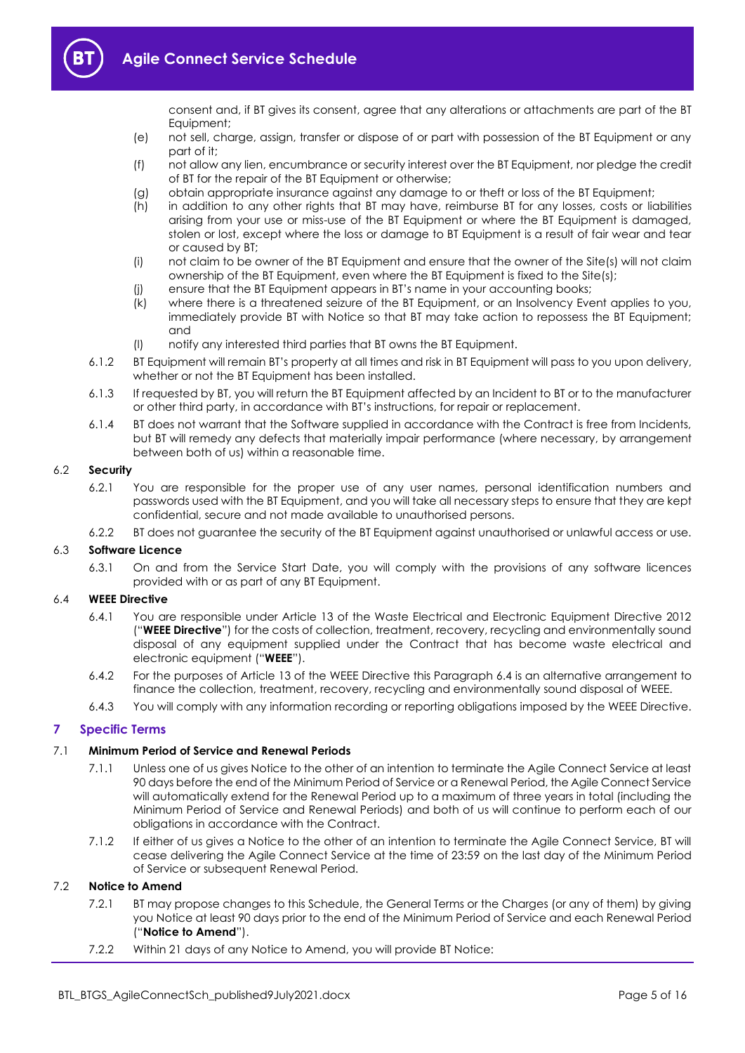consent and, if BT gives its consent, agree that any alterations or attachments are part of the BT Equipment;

- (e) not sell, charge, assign, transfer or dispose of or part with possession of the BT Equipment or any part of it;
- (f) not allow any lien, encumbrance or security interest over the BT Equipment, nor pledge the credit of BT for the repair of the BT Equipment or otherwise;
- (g) obtain appropriate insurance against any damage to or theft or loss of the BT Equipment;
- (h) in addition to any other rights that BT may have, reimburse BT for any losses, costs or liabilities arising from your use or miss-use of the BT Equipment or where the BT Equipment is damaged, stolen or lost, except where the loss or damage to BT Equipment is a result of fair wear and tear or caused by BT;
- (i) not claim to be owner of the BT Equipment and ensure that the owner of the Site(s) will not claim ownership of the BT Equipment, even where the BT Equipment is fixed to the Site(s);
- (j) ensure that the BT Equipment appears in BT's name in your accounting books;
- (k) where there is a threatened seizure of the BT Equipment, or an Insolvency Event applies to you, immediately provide BT with Notice so that BT may take action to repossess the BT Equipment; and
- (l) notify any interested third parties that BT owns the BT Equipment.
- 6.1.2 BT Equipment will remain BT's property at all times and risk in BT Equipment will pass to you upon delivery, whether or not the BT Equipment has been installed.
- 6.1.3 If requested by BT, you will return the BT Equipment affected by an Incident to BT or to the manufacturer or other third party, in accordance with BT's instructions, for repair or replacement.
- 6.1.4 BT does not warrant that the Software supplied in accordance with the Contract is free from Incidents, but BT will remedy any defects that materially impair performance (where necessary, by arrangement between both of us) within a reasonable time.

#### 6.2 **Security**

- 6.2.1 You are responsible for the proper use of any user names, personal identification numbers and passwords used with the BT Equipment, and you will take all necessary steps to ensure that they are kept confidential, secure and not made available to unauthorised persons.
- 6.2.2 BT does not guarantee the security of the BT Equipment against unauthorised or unlawful access or use.

#### 6.3 **Software Licence**

6.3.1 On and from the Service Start Date, you will comply with the provisions of any software licences provided with or as part of any BT Equipment.

#### <span id="page-4-1"></span>6.4 **WEEE Directive**

- 6.4.1 You are responsible under Article 13 of the Waste Electrical and Electronic Equipment Directive 2012 ("**WEEE Directive**") for the costs of collection, treatment, recovery, recycling and environmentally sound disposal of any equipment supplied under the Contract that has become waste electrical and electronic equipment ("**WEEE**").
- 6.4.2 For the purposes of Article 13 of the WEEE Directive this Paragrap[h 6.4](#page-4-1) is an alternative arrangement to finance the collection, treatment, recovery, recycling and environmentally sound disposal of WEEE.
- 6.4.3 You will comply with any information recording or reporting obligations imposed by the WEEE Directive.

# <span id="page-4-0"></span>**7 Specific Terms**

# 7.1 **Minimum Period of Service and Renewal Periods**

- 7.1.1 Unless one of us gives Notice to the other of an intention to terminate the Agile Connect Service at least 90 days before the end of the Minimum Period of Service or a Renewal Period, the Agile Connect Service will automatically extend for the Renewal Period up to a maximum of three years in total (including the Minimum Period of Service and Renewal Periods) and both of us will continue to perform each of our obligations in accordance with the Contract.
- 7.1.2 If either of us gives a Notice to the other of an intention to terminate the Agile Connect Service, BT will cease delivering the Agile Connect Service at the time of 23:59 on the last day of the Minimum Period of Service or subsequent Renewal Period.

#### 7.2 **Notice to Amend**

- 7.2.1 BT may propose changes to this Schedule, the General Terms or the Charges (or any of them) by giving you Notice at least 90 days prior to the end of the Minimum Period of Service and each Renewal Period ("**Notice to Amend**").
- 7.2.2 Within 21 days of any Notice to Amend, you will provide BT Notice: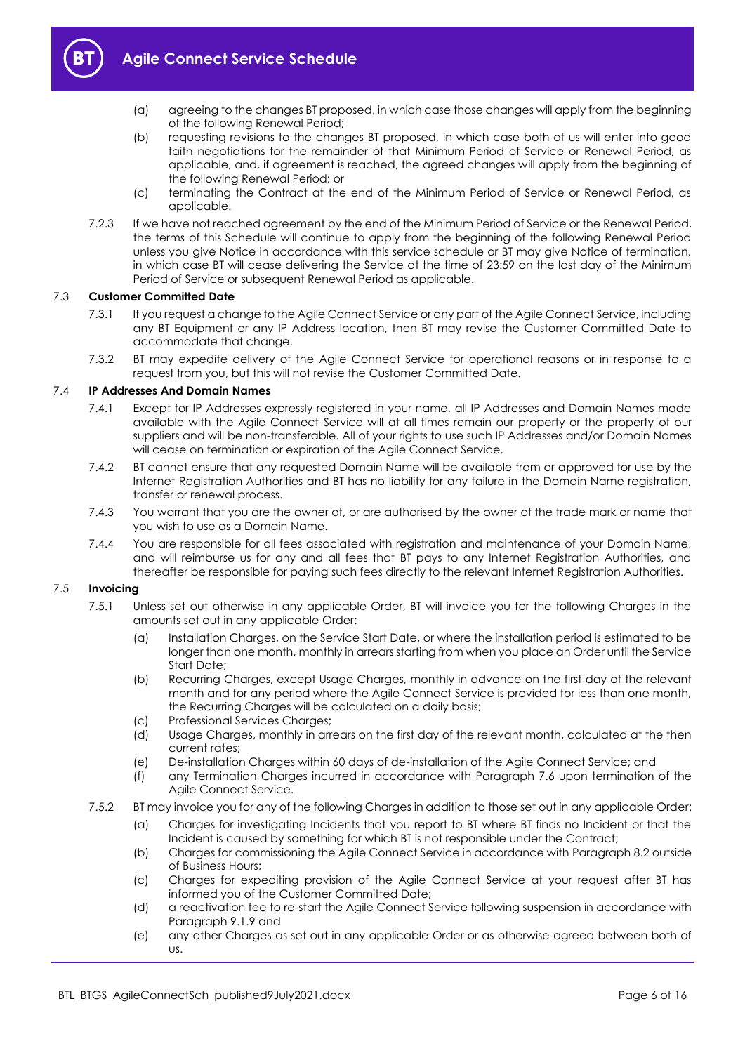

- (a) agreeing to the changes BT proposed, in which case those changes will apply from the beginning of the following Renewal Period;
- (b) requesting revisions to the changes BT proposed, in which case both of us will enter into good faith negotiations for the remainder of that Minimum Period of Service or Renewal Period, as applicable, and, if agreement is reached, the agreed changes will apply from the beginning of the following Renewal Period; or
- (c) terminating the Contract at the end of the Minimum Period of Service or Renewal Period, as applicable.
- 7.2.3 If we have not reached agreement by the end of the Minimum Period of Service or the Renewal Period, the terms of this Schedule will continue to apply from the beginning of the following Renewal Period unless you give Notice in accordance with this service schedule or BT may give Notice of termination, in which case BT will cease delivering the Service at the time of 23:59 on the last day of the Minimum Period of Service or subsequent Renewal Period as applicable.

# 7.3 **Customer Committed Date**

- 7.3.1 If you request a change to the Agile Connect Service or any part of the Agile Connect Service, including any BT Equipment or any IP Address location, then BT may revise the Customer Committed Date to accommodate that change.
- 7.3.2 BT may expedite delivery of the Agile Connect Service for operational reasons or in response to a request from you, but this will not revise the Customer Committed Date.

# 7.4 **IP Addresses And Domain Names**

- 7.4.1 Except for IP Addresses expressly registered in your name, all IP Addresses and Domain Names made available with the Agile Connect Service will at all times remain our property or the property of our suppliers and will be non-transferable. All of your rights to use such IP Addresses and/or Domain Names will cease on termination or expiration of the Agile Connect Service.
- 7.4.2 BT cannot ensure that any requested Domain Name will be available from or approved for use by the Internet Registration Authorities and BT has no liability for any failure in the Domain Name registration, transfer or renewal process.
- 7.4.3 You warrant that you are the owner of, or are authorised by the owner of the trade mark or name that you wish to use as a Domain Name.
- 7.4.4 You are responsible for all fees associated with registration and maintenance of your Domain Name, and will reimburse us for any and all fees that BT pays to any Internet Registration Authorities, and thereafter be responsible for paying such fees directly to the relevant Internet Registration Authorities.

#### 7.5 **Invoicing**

- 7.5.1 Unless set out otherwise in any applicable Order, BT will invoice you for the following Charges in the amounts set out in any applicable Order:
	- (a) Installation Charges, on the Service Start Date, or where the installation period is estimated to be longer than one month, monthly in arrears starting from when you place an Order until the Service Start Date;
	- (b) Recurring Charges, except Usage Charges, monthly in advance on the first day of the relevant month and for any period where the Agile Connect Service is provided for less than one month, the Recurring Charges will be calculated on a daily basis;
	- (c) Professional Services Charges;<br>(d) Usage Charges, monthly in arre
	- Usage Charges, monthly in arrears on the first day of the relevant month, calculated at the then current rates;
	- (e) De-installation Charges within 60 days of de-installation of the Agile Connect Service; and
	- (f) any Termination Charges incurred in accordance with Paragraph [7.6](#page-6-0) upon termination of the Agile Connect Service.
- <span id="page-5-0"></span>7.5.2 BT may invoice you for any of the following Charges in addition to those set out in any applicable Order:
	- (a) Charges for investigating Incidents that you report to BT where BT finds no Incident or that the Incident is caused by something for which BT is not responsible under the Contract;
	- (b) Charges for commissioning the Agile Connect Service in accordance with Paragrap[h 8.2](#page-7-3) outside of Business Hours;
	- (c) Charges for expediting provision of the Agile Connect Service at your request after BT has informed you of the Customer Committed Date;
	- (d) a reactivation fee to re-start the Agile Connect Service following suspension in accordance with Paragraph [9.1.9](#page-8-0) and
	- (e) any other Charges as set out in any applicable Order or as otherwise agreed between both of us.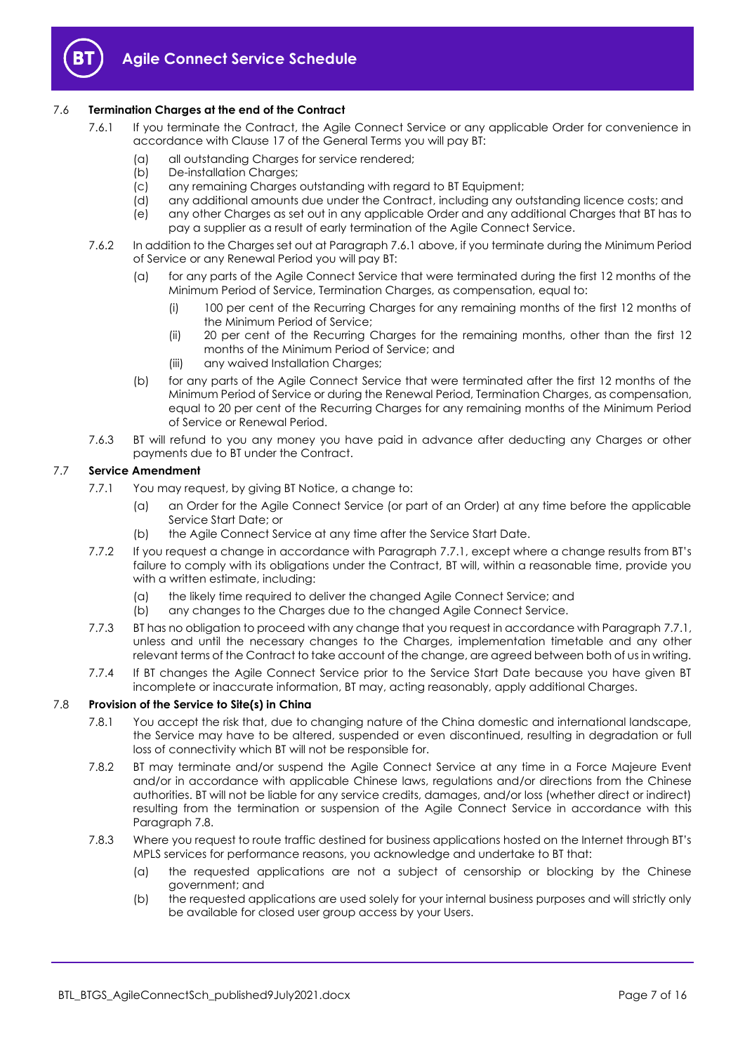

# <span id="page-6-1"></span><span id="page-6-0"></span>7.6 **Termination Charges at the end of the Contract**

- 7.6.1 If you terminate the Contract, the Agile Connect Service or any applicable Order for convenience in accordance with Clause 17 of the General Terms you will pay BT:
	- (a) all outstanding Charges for service rendered;
	- (b) De-installation Charges;
	- (c) any remaining Charges outstanding with regard to BT Equipment;
	- (d) any additional amounts due under the Contract, including any outstanding licence costs; and
	- (e) any other Charges as set out in any applicable Order and any additional Charges that BT has to pay a supplier as a result of early termination of the Agile Connect Service.
- 7.6.2 In addition to the Charges set out at Paragrap[h 7.6.1](#page-6-1) above, if you terminate during the Minimum Period of Service or any Renewal Period you will pay BT:
	- (a) for any parts of the Agile Connect Service that were terminated during the first 12 months of the Minimum Period of Service, Termination Charges, as compensation, equal to:
		- (i) 100 per cent of the Recurring Charges for any remaining months of the first 12 months of the Minimum Period of Service;
		- (ii) 20 per cent of the Recurring Charges for the remaining months, other than the first 12 months of the Minimum Period of Service; and
		- (iii) any waived Installation Charges;
	- (b) for any parts of the Agile Connect Service that were terminated after the first 12 months of the Minimum Period of Service or during the Renewal Period, Termination Charges, as compensation, equal to 20 per cent of the Recurring Charges for any remaining months of the Minimum Period of Service or Renewal Period.
- 7.6.3 BT will refund to you any money you have paid in advance after deducting any Charges or other payments due to BT under the Contract.

# <span id="page-6-2"></span>7.7 **Service Amendment**

- 7.7.1 You may request, by giving BT Notice, a change to:
	- (a) an Order for the Agile Connect Service (or part of an Order) at any time before the applicable Service Start Date; or
	- (b) the Agile Connect Service at any time after the Service Start Date.
- 7.7.2 If you request a change in accordance with Paragrap[h 7.7.1](#page-6-2), except where a change results from BT's failure to comply with its obligations under the Contract, BT will, within a reasonable time, provide you with a written estimate, including:
	- (a) the likely time required to deliver the changed Agile Connect Service; and
	- (b) any changes to the Charges due to the changed Agile Connect Service.
- 7.7.3 BT has no obligation to proceed with any change that you request in accordance with Paragrap[h 7.7.1,](#page-6-2)  unless and until the necessary changes to the Charges, implementation timetable and any other relevant terms of the Contract to take account of the change, are agreed between both of us in writing.
- 7.7.4 If BT changes the Agile Connect Service prior to the Service Start Date because you have given BT incomplete or inaccurate information, BT may, acting reasonably, apply additional Charges.

# 7.8 **Provision of the Service to Site(s) in China**

- 7.8.1 You accept the risk that, due to changing nature of the China domestic and international landscape, the Service may have to be altered, suspended or even discontinued, resulting in degradation or full loss of connectivity which BT will not be responsible for.
- 7.8.2 BT may terminate and/or suspend the Agile Connect Service at any time in a Force Majeure Event and/or in accordance with applicable Chinese laws, regulations and/or directions from the Chinese authorities. BT will not be liable for any service credits, damages, and/or loss (whether direct or indirect) resulting from the termination or suspension of the Agile Connect Service in accordance with this Paragraph 7.8.
- 7.8.3 Where you request to route traffic destined for business applications hosted on the Internet through BT's MPLS services for performance reasons, you acknowledge and undertake to BT that:
	- (a) the requested applications are not a subject of censorship or blocking by the Chinese government; and
	- (b) the requested applications are used solely for your internal business purposes and will strictly only be available for closed user group access by your Users.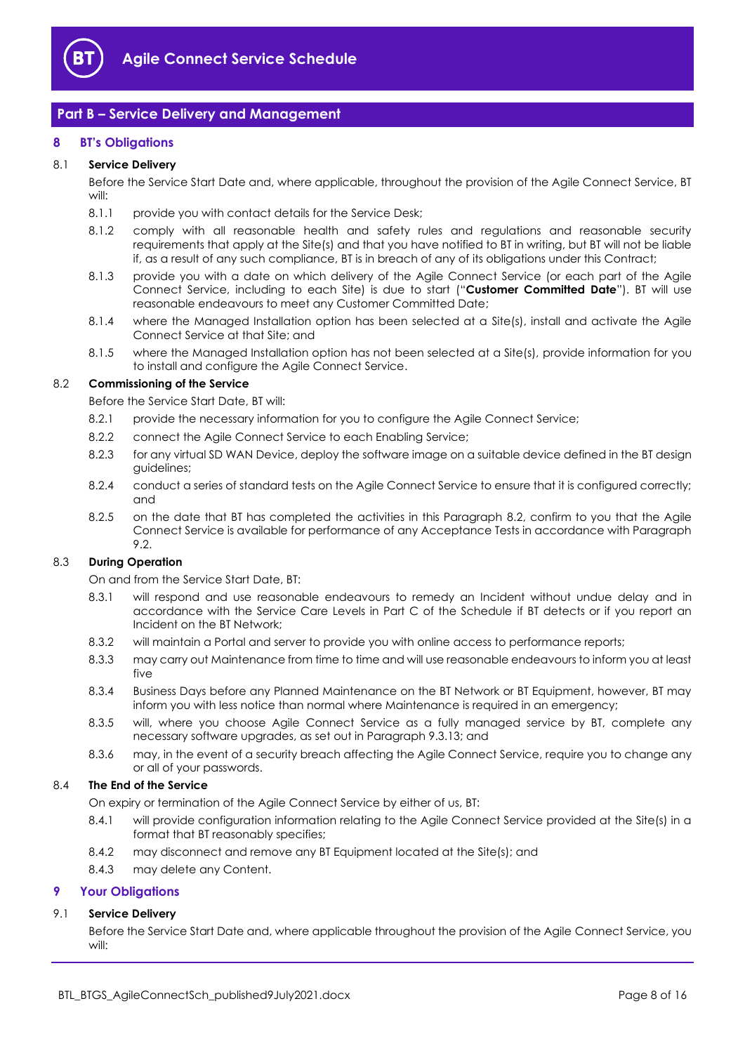

# <span id="page-7-0"></span>**Part B – Service Delivery and Management**

# <span id="page-7-1"></span>**8 BT's Obligations**

# 8.1 **Service Delivery**

Before the Service Start Date and, where applicable, throughout the provision of the Agile Connect Service, BT will:

- 8.1.1 provide you with contact details for the Service Desk;
- 8.1.2 comply with all reasonable health and safety rules and regulations and reasonable security requirements that apply at the Site(s) and that you have notified to BT in writing, but BT will not be liable if, as a result of any such compliance, BT is in breach of any of its obligations under this Contract;
- 8.1.3 provide you with a date on which delivery of the Agile Connect Service (or each part of the Agile Connect Service, including to each Site) is due to start ("**Customer Committed Date**"). BT will use reasonable endeavours to meet any Customer Committed Date;
- 8.1.4 where the Managed Installation option has been selected at a Site(s), install and activate the Agile Connect Service at that Site; and
- 8.1.5 where the Managed Installation option has not been selected at a Site(s), provide information for you to install and configure the Agile Connect Service.

#### <span id="page-7-3"></span>8.2 **Commissioning of the Service**

Before the Service Start Date, BT will:

- 8.2.1 provide the necessary information for you to configure the Agile Connect Service;
- 8.2.2 connect the Agile Connect Service to each Enabling Service;
- 8.2.3 for any virtual SD WAN Device, deploy the software image on a suitable device defined in the BT design guidelines;
- 8.2.4 conduct a series of standard tests on the Agile Connect Service to ensure that it is configured correctly; and
- <span id="page-7-4"></span>8.2.5 on the date that BT has completed the activities in this Paragraph [8.2,](#page-7-3) confirm to you that the Agile Connect Service is available for performance of any Acceptance Tests in accordance with Paragraph [9.2.](#page-8-1)

# 8.3 **During Operation**

On and from the Service Start Date, BT:

- 8.3.1 will respond and use reasonable endeavours to remedy an Incident without undue delay and in accordance with the Service Care Levels in Part C of the Schedule if BT detects or if you report an Incident on the BT Network;
- 8.3.2 will maintain a Portal and server to provide you with online access to performance reports;
- 8.3.3 may carry out Maintenance from time to time and will use reasonable endeavours to inform you at least five
- 8.3.4 Business Days before any Planned Maintenance on the BT Network or BT Equipment, however, BT may inform you with less notice than normal where Maintenance is required in an emergency;
- 8.3.5 will, where you choose Agile Connect Service as a fully managed service by BT, complete any necessary software upgrades, as set out in Paragrap[h 9.3.13;](#page-9-0) and
- 8.3.6 may, in the event of a security breach affecting the Agile Connect Service, require you to change any or all of your passwords.

# 8.4 **The End of the Service**

On expiry or termination of the Agile Connect Service by either of us, BT:

- 8.4.1 will provide configuration information relating to the Agile Connect Service provided at the Site(s) in a format that BT reasonably specifies;
- 8.4.2 may disconnect and remove any BT Equipment located at the Site(s); and
- 8.4.3 may delete any Content.

# <span id="page-7-2"></span>**9 Your Obligations**

# 9.1 **Service Delivery**

Before the Service Start Date and, where applicable throughout the provision of the Agile Connect Service, you will: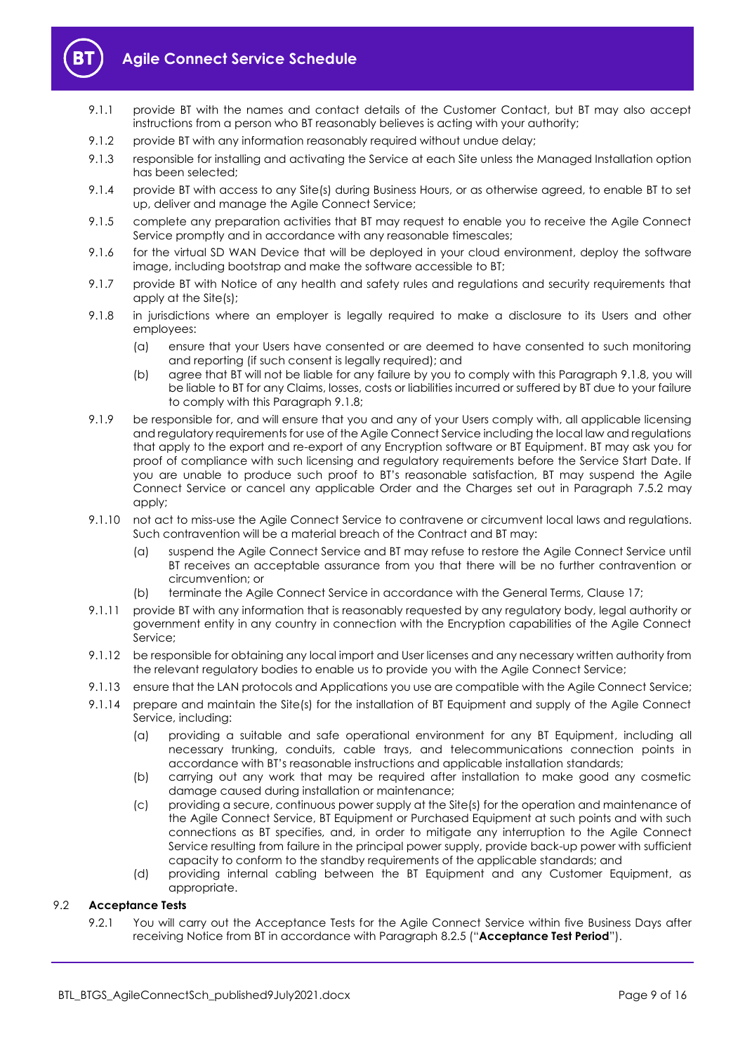

- 9.1.1 provide BT with the names and contact details of the Customer Contact, but BT may also accept instructions from a person who BT reasonably believes is acting with your authority;
- 9.1.2 provide BT with any information reasonably required without undue delay;
- 9.1.3 responsible for installing and activating the Service at each Site unless the Managed Installation option has been selected;
- 9.1.4 provide BT with access to any Site(s) during Business Hours, or as otherwise agreed, to enable BT to set up, deliver and manage the Agile Connect Service;
- 9.1.5 complete any preparation activities that BT may request to enable you to receive the Agile Connect Service promptly and in accordance with any reasonable timescales;
- 9.1.6 for the virtual SD WAN Device that will be deployed in your cloud environment, deploy the software image, including bootstrap and make the software accessible to BT;
- 9.1.7 provide BT with Notice of any health and safety rules and regulations and security requirements that apply at the Site(s);
- <span id="page-8-2"></span>9.1.8 in jurisdictions where an employer is legally required to make a disclosure to its Users and other employees:
	- (a) ensure that your Users have consented or are deemed to have consented to such monitoring and reporting (if such consent is legally required); and
	- (b) agree that BT will not be liable for any failure by you to comply with this Paragraph [9.1.8,](#page-8-2) you will be liable to BT for any Claims, losses, costs or liabilities incurred or suffered by BT due to your failure to comply with this Paragrap[h 9.1.8;](#page-8-2)
- <span id="page-8-0"></span>9.1.9 be responsible for, and will ensure that you and any of your Users comply with, all applicable licensing and regulatory requirements for use of the Agile Connect Service including the local law and regulations that apply to the export and re-export of any Encryption software or BT Equipment. BT may ask you for proof of compliance with such licensing and regulatory requirements before the Service Start Date. If you are unable to produce such proof to BT's reasonable satisfaction, BT may suspend the Agile Connect Service or cancel any applicable Order and the Charges set out in Paragraph [7.5.2](#page-5-0) may apply:
- 9.1.10 not act to miss-use the Agile Connect Service to contravene or circumvent local laws and regulations. Such contravention will be a material breach of the Contract and BT may:
	- (a) suspend the Agile Connect Service and BT may refuse to restore the Agile Connect Service until BT receives an acceptable assurance from you that there will be no further contravention or circumvention; or
	- (b) terminate the Agile Connect Service in accordance with the General Terms, Clause 17;
- 9.1.11 provide BT with any information that is reasonably requested by any regulatory body, legal authority or government entity in any country in connection with the Encryption capabilities of the Agile Connect Service;
- 9.1.12 be responsible for obtaining any local import and User licenses and any necessary written authority from the relevant regulatory bodies to enable us to provide you with the Agile Connect Service;
- 9.1.13 ensure that the LAN protocols and Applications you use are compatible with the Agile Connect Service;
- 9.1.14 prepare and maintain the Site(s) for the installation of BT Equipment and supply of the Agile Connect Service, including:
	- (a) providing a suitable and safe operational environment for any BT Equipment, including all necessary trunking, conduits, cable trays, and telecommunications connection points in accordance with BT's reasonable instructions and applicable installation standards;
	- (b) carrying out any work that may be required after installation to make good any cosmetic damage caused during installation or maintenance;
	- (c) providing a secure, continuous power supply at the Site(s) for the operation and maintenance of the Agile Connect Service, BT Equipment or Purchased Equipment at such points and with such connections as BT specifies, and, in order to mitigate any interruption to the Agile Connect Service resulting from failure in the principal power supply, provide back-up power with sufficient capacity to conform to the standby requirements of the applicable standards; and
	- (d) providing internal cabling between the BT Equipment and any Customer Equipment, as appropriate.

# <span id="page-8-3"></span><span id="page-8-1"></span>9.2 **Acceptance Tests**

9.2.1 You will carry out the Acceptance Tests for the Agile Connect Service within five Business Days after receiving Notice from BT in accordance with Paragraph [8.2.5](#page-7-4) ("**Acceptance Test Period**").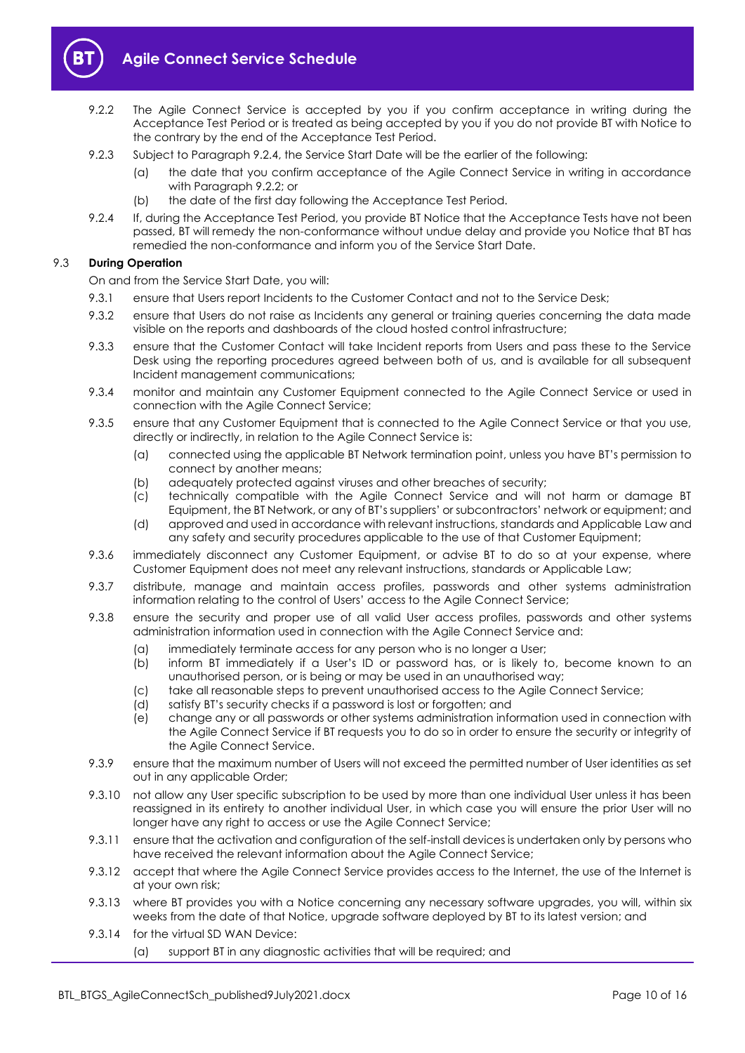

- <span id="page-9-2"></span>9.2.2 The Agile Connect Service is accepted by you if you confirm acceptance in writing during the Acceptance Test Period or is treated as being accepted by you if you do not provide BT with Notice to the contrary by the end of the Acceptance Test Period.
- 9.2.3 Subject to Paragraph [9.2.4,](#page-9-1) the Service Start Date will be the earlier of the following:
	- (a) the date that you confirm acceptance of the Agile Connect Service in writing in accordance with Paragrap[h 9.2.2;](#page-9-2) or
	- (b) the date of the first day following the Acceptance Test Period.
- <span id="page-9-1"></span>9.2.4 If, during the Acceptance Test Period, you provide BT Notice that the Acceptance Tests have not been passed, BT will remedy the non-conformance without undue delay and provide you Notice that BT has remedied the non-conformance and inform you of the Service Start Date.

# 9.3 **During Operation**

On and from the Service Start Date, you will:

- 9.3.1 ensure that Users report Incidents to the Customer Contact and not to the Service Desk;
- 9.3.2 ensure that Users do not raise as Incidents any general or training queries concerning the data made visible on the reports and dashboards of the cloud hosted control infrastructure;
- 9.3.3 ensure that the Customer Contact will take Incident reports from Users and pass these to the Service Desk using the reporting procedures agreed between both of us, and is available for all subsequent Incident management communications;
- 9.3.4 monitor and maintain any Customer Equipment connected to the Agile Connect Service or used in connection with the Agile Connect Service;
- 9.3.5 ensure that any Customer Equipment that is connected to the Agile Connect Service or that you use, directly or indirectly, in relation to the Agile Connect Service is:
	- (a) connected using the applicable BT Network termination point, unless you have BT's permission to connect by another means;
	- (b) adequately protected against viruses and other breaches of security;
	- (c) technically compatible with the Agile Connect Service and will not harm or damage BT Equipment, the BT Network, or any of BT's suppliers' or subcontractors' network or equipment; and
	- (d) approved and used in accordance with relevant instructions, standards and Applicable Law and any safety and security procedures applicable to the use of that Customer Equipment;
- 9.3.6 immediately disconnect any Customer Equipment, or advise BT to do so at your expense, where Customer Equipment does not meet any relevant instructions, standards or Applicable Law;
- 9.3.7 distribute, manage and maintain access profiles, passwords and other systems administration information relating to the control of Users' access to the Agile Connect Service;
- 9.3.8 ensure the security and proper use of all valid User access profiles, passwords and other systems administration information used in connection with the Agile Connect Service and:
	- (a) immediately terminate access for any person who is no longer a User;
	- (b) inform BT immediately if a User's ID or password has, or is likely to, become known to an unauthorised person, or is being or may be used in an unauthorised way;
	- (c) take all reasonable steps to prevent unauthorised access to the Agile Connect Service;
	- (d) satisfy BT's security checks if a password is lost or forgotten; and
	- (e) change any or all passwords or other systems administration information used in connection with the Agile Connect Service if BT requests you to do so in order to ensure the security or integrity of the Agile Connect Service.
- 9.3.9 ensure that the maximum number of Users will not exceed the permitted number of User identities as set out in any applicable Order;
- 9.3.10 not allow any User specific subscription to be used by more than one individual User unless it has been reassigned in its entirety to another individual User, in which case you will ensure the prior User will no longer have any right to access or use the Agile Connect Service;
- 9.3.11 ensure that the activation and configuration of the self-install devices is undertaken only by persons who have received the relevant information about the Agile Connect Service;
- 9.3.12 accept that where the Agile Connect Service provides access to the Internet, the use of the Internet is at your own risk;
- <span id="page-9-0"></span>9.3.13 where BT provides you with a Notice concerning any necessary software upgrades, you will, within six weeks from the date of that Notice, upgrade software deployed by BT to its latest version; and
- 9.3.14 for the virtual SD WAN Device:
	- (a) support BT in any diagnostic activities that will be required; and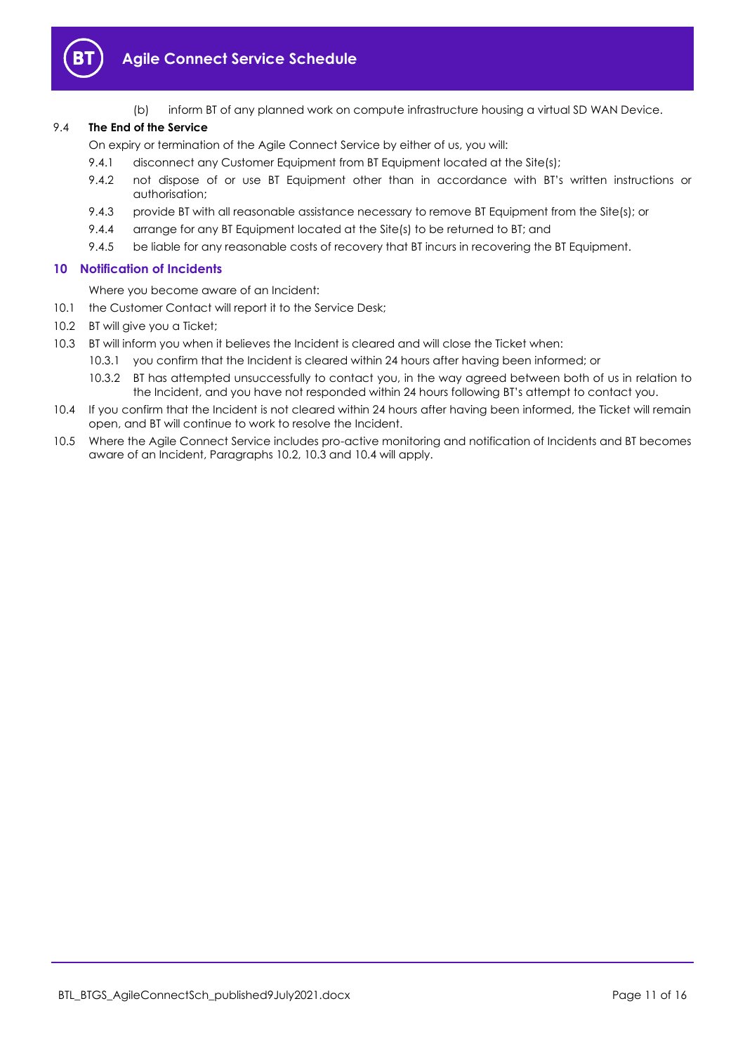

(b) inform BT of any planned work on compute infrastructure housing a virtual SD WAN Device.

# 9.4 **The End of the Service**

On expiry or termination of the Agile Connect Service by either of us, you will:

- 9.4.1 disconnect any Customer Equipment from BT Equipment located at the Site(s);
- 9.4.2 not dispose of or use BT Equipment other than in accordance with BT's written instructions or authorisation;
- 9.4.3 provide BT with all reasonable assistance necessary to remove BT Equipment from the Site(s); or
- 9.4.4 arrange for any BT Equipment located at the Site(s) to be returned to BT; and
- 9.4.5 be liable for any reasonable costs of recovery that BT incurs in recovering the BT Equipment.

# <span id="page-10-0"></span>**10 Notification of Incidents**

Where you become aware of an Incident:

- 10.1 the Customer Contact will report it to the Service Desk;
- <span id="page-10-1"></span>10.2 BT will give you a Ticket;
- <span id="page-10-2"></span>10.3 BT will inform you when it believes the Incident is cleared and will close the Ticket when:
	- 10.3.1 you confirm that the Incident is cleared within 24 hours after having been informed; or
		- 10.3.2 BT has attempted unsuccessfully to contact you, in the way agreed between both of us in relation to the Incident, and you have not responded within 24 hours following BT's attempt to contact you.
- <span id="page-10-3"></span>10.4 If you confirm that the Incident is not cleared within 24 hours after having been informed, the Ticket will remain open, and BT will continue to work to resolve the Incident.
- 10.5 Where the Agile Connect Service includes pro-active monitoring and notification of Incidents and BT becomes aware of an Incident, Paragraph[s 10.2,](#page-10-1) [10.3](#page-10-2) an[d 10.4](#page-10-3) will apply.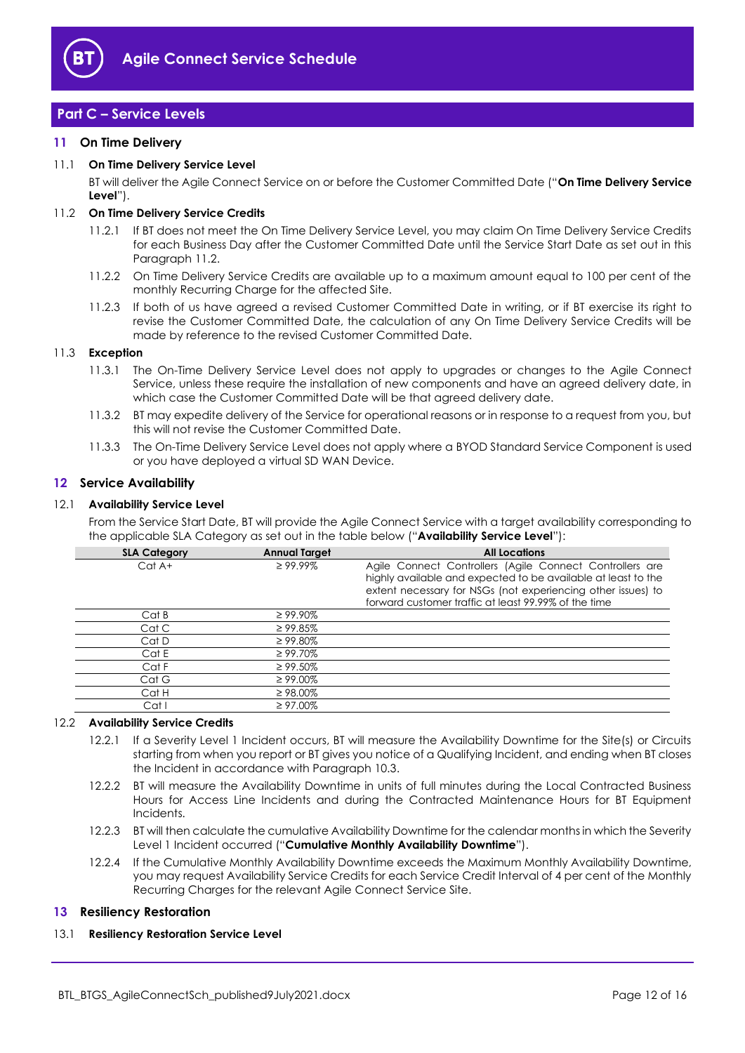

# <span id="page-11-0"></span>**Part C – Service Levels**

# <span id="page-11-1"></span>**11 On Time Delivery**

# <span id="page-11-9"></span>11.1 **On Time Delivery Service Level**

BT will deliver the Agile Connect Service on or before the Customer Committed Date ("**On Time Delivery Service Level**").

# <span id="page-11-4"></span>11.2 **On Time Delivery Service Credits**

- 11.2.1 If BT does not meet the On Time Delivery Service Level, you may claim On Time Delivery Service Credits for each Business Day after the Customer Committed Date until the Service Start Date as set out in this Paragrap[h 11.2.](#page-11-4)
- 11.2.2 On Time Delivery Service Credits are available up to a maximum amount equal to 100 per cent of the monthly Recurring Charge for the affected Site.
- 11.2.3 If both of us have agreed a revised Customer Committed Date in writing, or if BT exercise its right to revise the Customer Committed Date, the calculation of any On Time Delivery Service Credits will be made by reference to the revised Customer Committed Date.

# 11.3 **Exception**

- 11.3.1 The On-Time Delivery Service Level does not apply to upgrades or changes to the Agile Connect Service, unless these require the installation of new components and have an agreed delivery date, in which case the Customer Committed Date will be that agreed delivery date.
- 11.3.2 BT may expedite delivery of the Service for operational reasons or in response to a request from you, but this will not revise the Customer Committed Date.
- 11.3.3 The On-Time Delivery Service Level does not apply where a BYOD Standard Service Component is used or you have deployed a virtual SD WAN Device.

# <span id="page-11-2"></span>**12 Service Availability**

# <span id="page-11-7"></span>12.1 **Availability Service Level**

From the Service Start Date, BT will provide the Agile Connect Service with a target availability corresponding to the applicable SLA Category as set out in the table below ("**Availability Service Level**"):

| <b>SLA Category</b> | <b>Annual Target</b> | <b>All Locations</b>                                                                                                                                                                                                                              |
|---------------------|----------------------|---------------------------------------------------------------------------------------------------------------------------------------------------------------------------------------------------------------------------------------------------|
| $Cat A+$            | $\geq 99.99\%$       | Agile Connect Controllers (Agile Connect Controllers are<br>highly available and expected to be available at least to the<br>extent necessary for NSGs (not experiencing other issues) to<br>forward customer traffic at least 99.99% of the time |
| Cat B               | $\geq 99.90\%$       |                                                                                                                                                                                                                                                   |
| Cat C               | $\geq 99.85\%$       |                                                                                                                                                                                                                                                   |
| Cat D               | $\geq 99.80\%$       |                                                                                                                                                                                                                                                   |
| Cat E               | $\geq 99.70\%$       |                                                                                                                                                                                                                                                   |
| Cat F               | $\geq 99.50\%$       |                                                                                                                                                                                                                                                   |
| Cat G               | $\geq 99.00\%$       |                                                                                                                                                                                                                                                   |
| Cat H               | $\geq$ 98.00%        |                                                                                                                                                                                                                                                   |
| Cat I               | $\geq 97.00\%$       |                                                                                                                                                                                                                                                   |

# <span id="page-11-5"></span>12.2 **Availability Service Credits**

- 12.2.1 If a Severity Level 1 Incident occurs, BT will measure the Availability Downtime for the Site(s) or Circuits starting from when you report or BT gives you notice of a Qualifying Incident, and ending when BT closes the Incident in accordance with Paragraph [10.3.](#page-10-2)
- 12.2.2 BT will measure the Availability Downtime in units of full minutes during the Local Contracted Business Hours for Access Line Incidents and during the Contracted Maintenance Hours for BT Equipment Incidents.
- <span id="page-11-8"></span>12.2.3 BT will then calculate the cumulative Availability Downtime for the calendar months in which the Severity Level 1 Incident occurred ("**Cumulative Monthly Availability Downtime**").
- <span id="page-11-6"></span>12.2.4 If the Cumulative Monthly Availability Downtime exceeds the Maximum Monthly Availability Downtime, you may request Availability Service Credits for each Service Credit Interval of 4 per cent of the Monthly Recurring Charges for the relevant Agile Connect Service Site.

# <span id="page-11-3"></span>**13 Resiliency Restoration**

# <span id="page-11-10"></span>13.1 **Resiliency Restoration Service Level**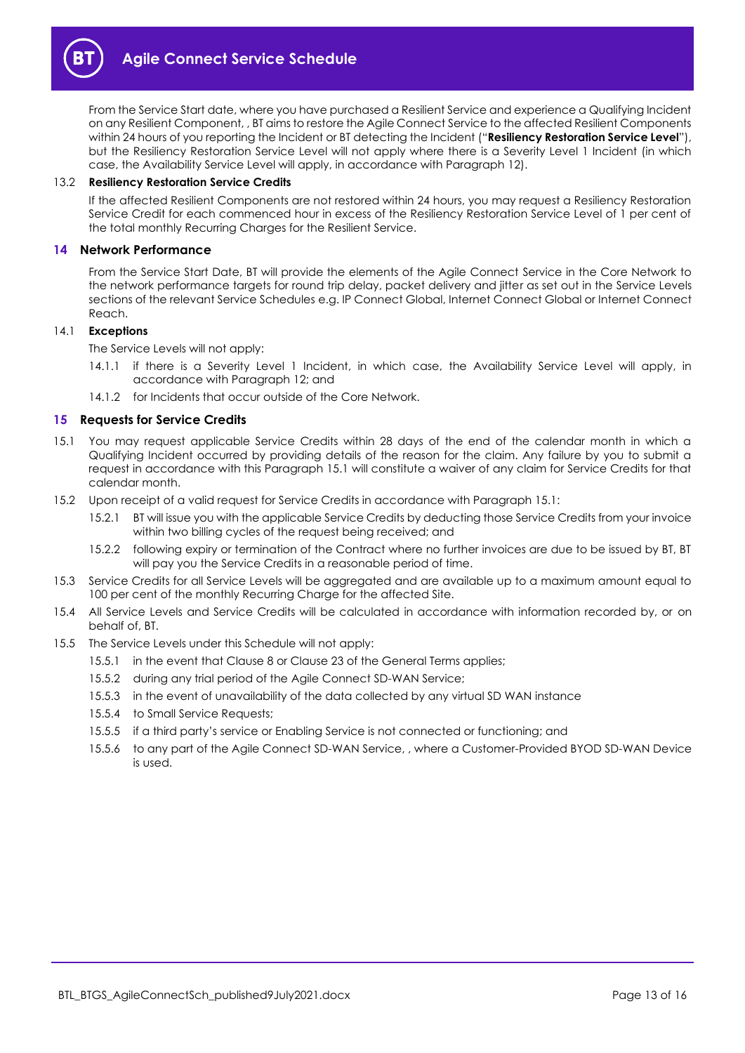

From the Service Start date, where you have purchased a Resilient Service and experience a Qualifying Incident on any Resilient Component, , BT aims to restore the Agile Connect Service to the affected Resilient Components within 24 hours of you reporting the Incident or BT detecting the Incident ("**Resiliency Restoration Service Level**"), but the Resiliency Restoration Service Level will not apply where there is a Severity Level 1 Incident (in which case, the Availability Service Level will apply, in accordance with Paragraph [12\)](#page-11-2).

#### 13.2 **Resiliency Restoration Service Credits**

If the affected Resilient Components are not restored within 24 hours, you may request a Resiliency Restoration Service Credit for each commenced hour in excess of the Resiliency Restoration Service Level of 1 per cent of the total monthly Recurring Charges for the Resilient Service.

#### <span id="page-12-0"></span>**14 Network Performance**

From the Service Start Date, BT will provide the elements of the Agile Connect Service in the Core Network to the network performance targets for round trip delay, packet delivery and jitter as set out in the Service Levels sections of the relevant Service Schedules e.g. IP Connect Global, Internet Connect Global or Internet Connect Reach.

#### 14.1 **Exceptions**

The Service Levels will not apply:

- 14.1.1 if there is a Severity Level 1 Incident, in which case, the Availability Service Level will apply, in accordance with Paragraph [12;](#page-11-2) and
- 14.1.2 for Incidents that occur outside of the Core Network.

# <span id="page-12-1"></span>**15 Requests for Service Credits**

- <span id="page-12-2"></span>15.1 You may request applicable Service Credits within 28 days of the end of the calendar month in which a Qualifying Incident occurred by providing details of the reason for the claim. Any failure by you to submit a request in accordance with this Paragraph [15.1](#page-12-2) will constitute a waiver of any claim for Service Credits for that calendar month.
- 15.2 Upon receipt of a valid request for Service Credits in accordance with Paragrap[h 15.1:](#page-12-2)
	- 15.2.1 BT will issue you with the applicable Service Credits by deducting those Service Credits from your invoice within two billing cycles of the request being received; and
	- 15.2.2 following expiry or termination of the Contract where no further invoices are due to be issued by BT, BT will pay you the Service Credits in a reasonable period of time.
- 15.3 Service Credits for all Service Levels will be aggregated and are available up to a maximum amount equal to 100 per cent of the monthly Recurring Charge for the affected Site.
- 15.4 All Service Levels and Service Credits will be calculated in accordance with information recorded by, or on behalf of, BT.
- 15.5 The Service Levels under this Schedule will not apply:
	- 15.5.1 in the event that Clause 8 or Clause 23 of the General Terms applies;
	- 15.5.2 during any trial period of the Agile Connect SD-WAN Service;
	- 15.5.3 in the event of unavailability of the data collected by any virtual SD WAN instance
	- 15.5.4 to Small Service Requests;
	- 15.5.5 if a third party's service or Enabling Service is not connected or functioning; and
	- 15.5.6 to any part of the Agile Connect SD-WAN Service, , where a Customer-Provided BYOD SD-WAN Device is used.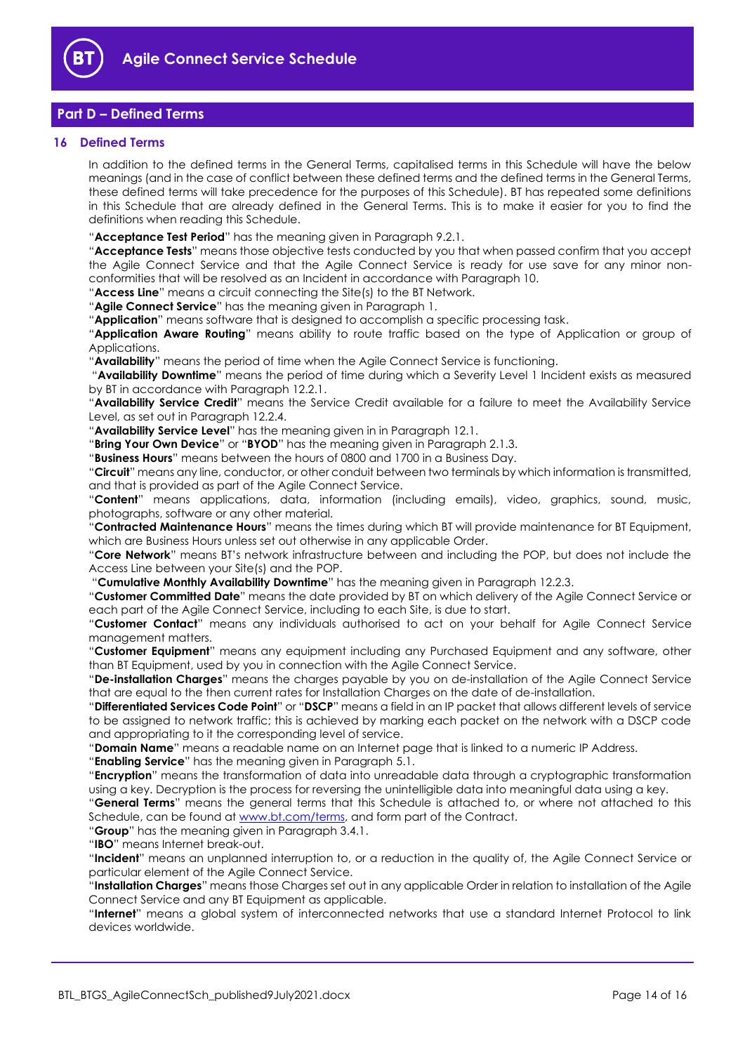

# <span id="page-13-0"></span>**Part D – Defined Terms**

# <span id="page-13-1"></span>**16 Defined Terms**

In addition to the defined terms in the General Terms, capitalised terms in this Schedule will have the below meanings (and in the case of conflict between these defined terms and the defined terms in the General Terms, these defined terms will take precedence for the purposes of this Schedule). BT has repeated some definitions in this Schedule that are already defined in the General Terms. This is to make it easier for you to find the definitions when reading this Schedule.

"**Acceptance Test Period**" has the meaning given in Paragrap[h 9.2.1.](#page-8-3)

"**Acceptance Tests**" means those objective tests conducted by you that when passed confirm that you accept the Agile Connect Service and that the Agile Connect Service is ready for use save for any minor nonconformities that will be resolved as an Incident in accordance with Paragraph [10.](#page-10-0)

"**Access Line**" means a circuit connecting the Site(s) to the BT Network.

"**Agile Connect Service**" has the meaning given in Paragraph [1.](#page-1-3)

"**Application**" means software that is designed to accomplish a specific processing task.

"**Application Aware Routing**" means ability to route traffic based on the type of Application or group of Applications.

"**Availability**" means the period of time when the Agile Connect Service is functioning.

"**Availability Downtime**" means the period of time during which a Severity Level 1 Incident exists as measured by BT in accordance with Paragrap[h 12.2.1.](#page-11-5)

"**Availability Service Credit**" means the Service Credit available for a failure to meet the Availability Service Level, as set out in Paragrap[h 12.2.4.](#page-11-6)

"**Availability Service Level**" has the meaning given in in Paragraph [12.1.](#page-11-7)

"**Bring Your Own Device**" or "**BYOD**" has the meaning given in Paragraph [2.1.3.](#page-1-6)

"**Business Hours**" means between the hours of 0800 and 1700 in a Business Day.

"**Circuit**" means any line, conductor, or other conduit between two terminals by which information is transmitted, and that is provided as part of the Agile Connect Service.

"**Content**" means applications, data, information (including emails), video, graphics, sound, music, photographs, software or any other material.

"**Contracted Maintenance Hours**" means the times during which BT will provide maintenance for BT Equipment, which are Business Hours unless set out otherwise in any applicable Order.

"**Core Network**" means BT's network infrastructure between and including the POP, but does not include the Access Line between your Site(s) and the POP.

"**Cumulative Monthly Availability Downtime**" has the meaning given in Paragraph [12.2.3.](#page-11-8)

"**Customer Committed Date**" means the date provided by BT on which delivery of the Agile Connect Service or each part of the Agile Connect Service, including to each Site, is due to start.

"**Customer Contact**" means any individuals authorised to act on your behalf for Agile Connect Service management matters.

"**Customer Equipment**" means any equipment including any Purchased Equipment and any software, other than BT Equipment, used by you in connection with the Agile Connect Service.

"**De-installation Charges**" means the charges payable by you on de-installation of the Agile Connect Service that are equal to the then current rates for Installation Charges on the date of de-installation.

"**Differentiated Services Code Point**" or "**DSCP**" means a field in an IP packet that allows different levels of service to be assigned to network traffic; this is achieved by marking each packet on the network with a DSCP code and appropriating to it the corresponding level of service.

"**Domain Name**" means a readable name on an Internet page that is linked to a numeric IP Address.

"**Enabling Service**" has the meaning given in Paragrap[h 5.1.](#page-3-2)

"**Encryption**" means the transformation of data into unreadable data through a cryptographic transformation using a key. Decryption is the process for reversing the unintelligible data into meaningful data using a key.

"**General Terms**" means the general terms that this Schedule is attached to, or where not attached to this Schedule, can be found at [www.bt.com/terms,](http://www.bt.com/terms) and form part of the Contract.

"**Group**" has the meaning given in Paragraph [3.4.1.](#page-2-1)

"**IBO**" means Internet break-out.

"**Incident**" means an unplanned interruption to, or a reduction in the quality of, the Agile Connect Service or particular element of the Agile Connect Service.

"**Installation Charges**" means those Charges set out in any applicable Order in relation to installation of the Agile Connect Service and any BT Equipment as applicable.

"**Internet**" means a global system of interconnected networks that use a standard Internet Protocol to link devices worldwide.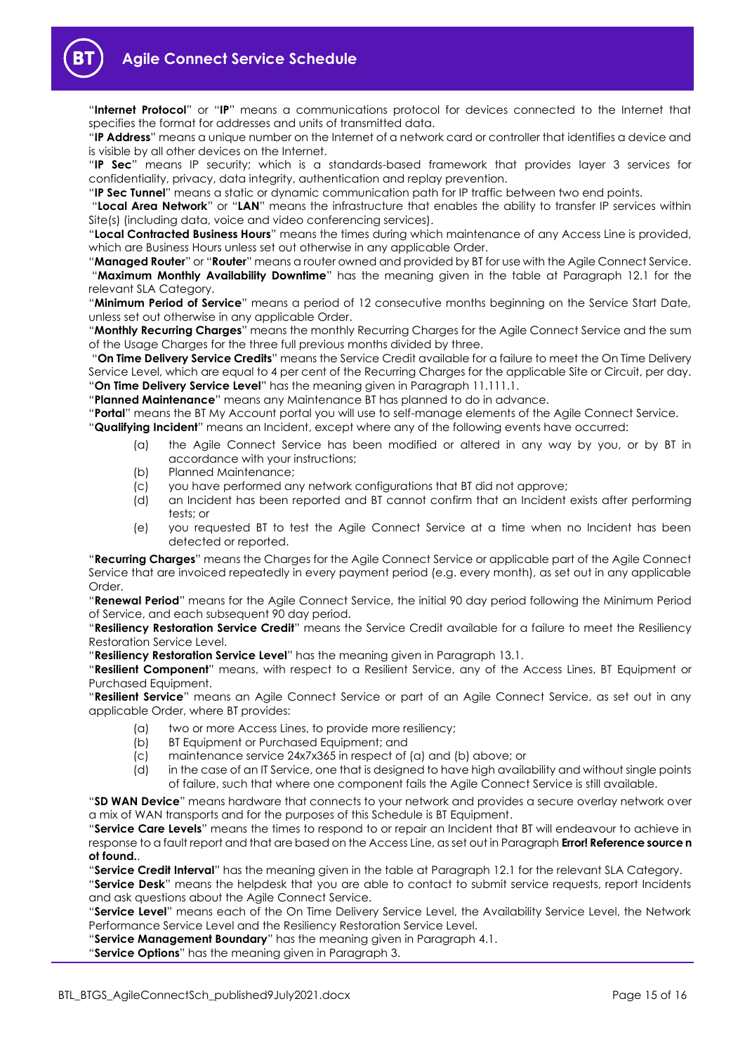

"**Internet Protocol**" or "**IP**" means a communications protocol for devices connected to the Internet that specifies the format for addresses and units of transmitted data.

"**IP Address**" means a unique number on the Internet of a network card or controller that identifies a device and is visible by all other devices on the Internet.

"**IP Sec**" means IP security; which is a standards-based framework that provides layer 3 services for confidentiality, privacy, data integrity, authentication and replay prevention.

"**IP Sec Tunnel**" means a static or dynamic communication path for IP traffic between two end points.

"**Local Area Network**" or "**LAN**" means the infrastructure that enables the ability to transfer IP services within Site(s) (including data, voice and video conferencing services).

"**Local Contracted Business Hours**" means the times during which maintenance of any Access Line is provided, which are Business Hours unless set out otherwise in any applicable Order.

"**Managed Router**" or "**Router**" means a router owned and provided by BT for use with the Agile Connect Service. "**Maximum Monthly Availability Downtime**" has the meaning given in the table at Paragraph [12.1](#page-11-7) for the relevant SLA Category.

"**Minimum Period of Service**" means a period of 12 consecutive months beginning on the Service Start Date, unless set out otherwise in any applicable Order.

"**Monthly Recurring Charges**" means the monthly Recurring Charges for the Agile Connect Service and the sum of the Usage Charges for the three full previous months divided by three.

"**On Time Delivery Service Credits**" means the Service Credit available for a failure to meet the On Time Delivery Service Level, which are equal to 4 per cent of the Recurring Charges for the applicable Site or Circuit, per day. "**On Time Delivery Service Level**" has the meaning given in Paragrap[h 11.111.1.](#page-11-9)

"**Planned Maintenance**" means any Maintenance BT has planned to do in advance.

"**Portal**" means the BT My Account portal you will use to self-manage elements of the Agile Connect Service.

"**Qualifying Incident**" means an Incident, except where any of the following events have occurred:

- (a) the Agile Connect Service has been modified or altered in any way by you, or by BT in accordance with your instructions;
- (b) Planned Maintenance;
- (c) you have performed any network configurations that BT did not approve;
- (d) an Incident has been reported and BT cannot confirm that an Incident exists after performing tests; or
- (e) you requested BT to test the Agile Connect Service at a time when no Incident has been detected or reported.

"**Recurring Charges**" means the Charges for the Agile Connect Service or applicable part of the Agile Connect Service that are invoiced repeatedly in every payment period (e.g. every month), as set out in any applicable Order.

"**Renewal Period**" means for the Agile Connect Service, the initial 90 day period following the Minimum Period of Service, and each subsequent 90 day period.

"**Resiliency Restoration Service Credit**" means the Service Credit available for a failure to meet the Resiliency Restoration Service Level.

"**Resiliency Restoration Service Level**" has the meaning given in Paragraph [13.1.](#page-11-10)

"**Resilient Component**" means, with respect to a Resilient Service, any of the Access Lines, BT Equipment or Purchased Equipment.

"**Resilient Service**" means an Agile Connect Service or part of an Agile Connect Service, as set out in any applicable Order, where BT provides:

- (a) two or more Access Lines, to provide more resiliency;
- (b) BT Equipment or Purchased Equipment; and
- (c) maintenance service 24x7x365 in respect of (a) and (b) above; or
- (d) in the case of an IT Service, one that is designed to have high availability and without single points of failure, such that where one component fails the Agile Connect Service is still available.

"**SD WAN Device**" means hardware that connects to your network and provides a secure overlay network over a mix of WAN transports and for the purposes of this Schedule is BT Equipment.

"**Service Care Levels**" means the times to respond to or repair an Incident that BT will endeavour to achieve in response to a fault report and that are based on the Access Line, as set out in Paragraph **Error! Reference source n ot found.**.

"**Service Credit Interval**" has the meaning given in the table at Paragraph [12.1](#page-11-7) for the relevant SLA Category.

"**Service Desk**" means the helpdesk that you are able to contact to submit service requests, report Incidents and ask questions about the Agile Connect Service.

"**Service Level**" means each of the On Time Delivery Service Level, the Availability Service Level, the Network Performance Service Level and the Resiliency Restoration Service Level.

"**Service Management Boundary**" has the meaning given in Paragrap[h 4.1.](#page-3-3)

"**Service Options**" has the meaning given in Paragraph [3.](#page-1-5)